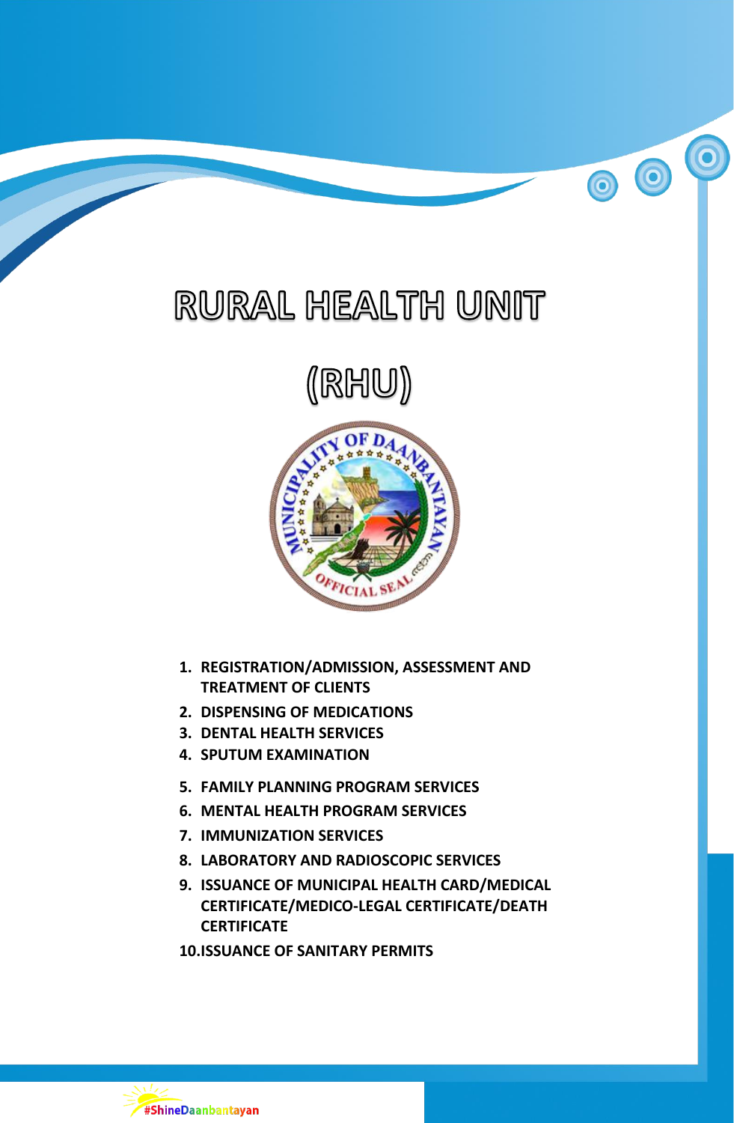# RURAL HEALTH UNIT

 $\bullet$ 

00

# (RHU)



- **1. REGISTRATION/ADMISSION, ASSESSMENT AND TREATMENT OF CLIENTS**
- **2. DISPENSING OF MEDICATIONS**
- **3. DENTAL HEALTH SERVICES**
- **4. SPUTUM EXAMINATION**
- **5. FAMILY PLANNING PROGRAM SERVICES**
- **6. MENTAL HEALTH PROGRAM SERVICES**
- **7. IMMUNIZATION SERVICES**
- **8. LABORATORY AND RADIOSCOPIC SERVICES**
- **9. ISSUANCE OF MUNICIPAL HEALTH CARD/MEDICAL CERTIFICATE/MEDICO-LEGAL CERTIFICATE/DEATH CERTIFICATE**
- **10.ISSUANCE OF SANITARY PERMITS**

#ShineDaanbantayan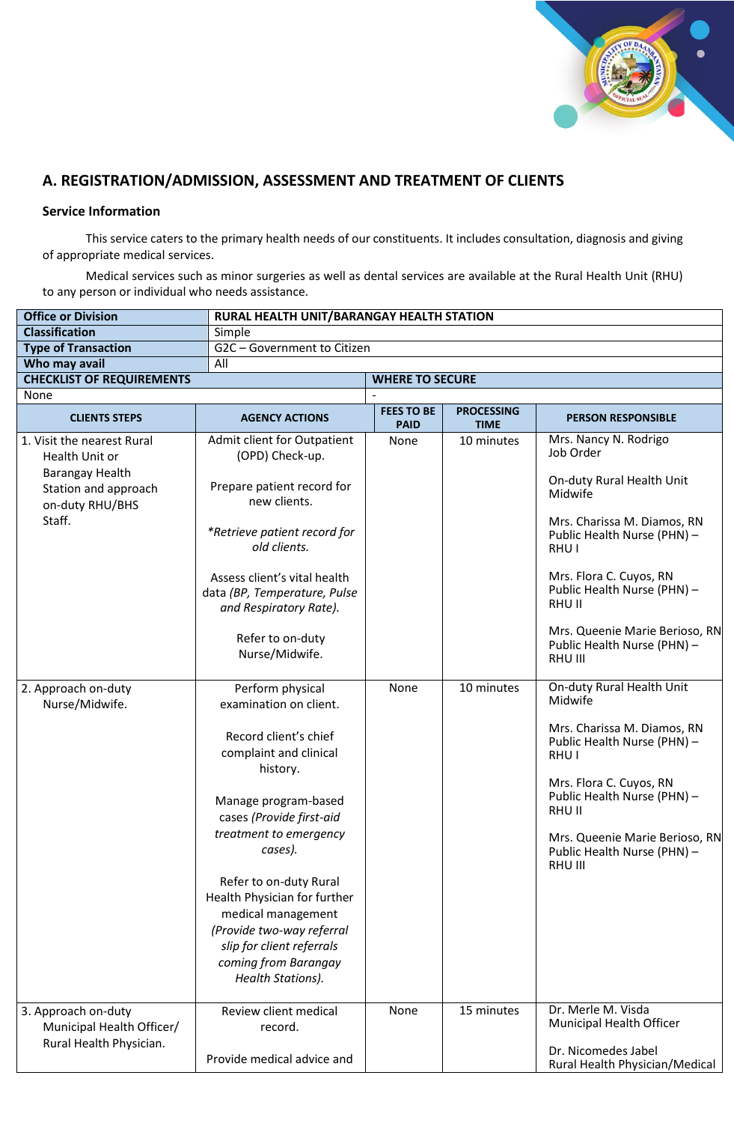

# **A. REGISTRATION/ADMISSION, ASSESSMENT AND TREATMENT OF CLIENTS**

## **Service Information**

This service caters to the primary health needs of our constituents. It includes consultation, diagnosis and giving of appropriate medical services.

Medical services such as minor surgeries as well as dental services are available at the Rural Health Unit (RHU) to any person or individual who needs assistance.

| <b>Office or Division</b>                                                                                            |                                                                                                                                                                                                                                                                                                                                                                                           | RURAL HEALTH UNIT/BARANGAY HEALTH STATION |                                  |                                                                                                                                                                                                                                                                                                   |  |  |  |
|----------------------------------------------------------------------------------------------------------------------|-------------------------------------------------------------------------------------------------------------------------------------------------------------------------------------------------------------------------------------------------------------------------------------------------------------------------------------------------------------------------------------------|-------------------------------------------|----------------------------------|---------------------------------------------------------------------------------------------------------------------------------------------------------------------------------------------------------------------------------------------------------------------------------------------------|--|--|--|
| <b>Classification</b>                                                                                                | Simple                                                                                                                                                                                                                                                                                                                                                                                    |                                           |                                  |                                                                                                                                                                                                                                                                                                   |  |  |  |
| <b>Type of Transaction</b>                                                                                           | G2C - Government to Citizen                                                                                                                                                                                                                                                                                                                                                               |                                           |                                  |                                                                                                                                                                                                                                                                                                   |  |  |  |
| Who may avail                                                                                                        | All                                                                                                                                                                                                                                                                                                                                                                                       |                                           |                                  |                                                                                                                                                                                                                                                                                                   |  |  |  |
| <b>CHECKLIST OF REQUIREMENTS</b>                                                                                     |                                                                                                                                                                                                                                                                                                                                                                                           | <b>WHERE TO SECURE</b>                    |                                  |                                                                                                                                                                                                                                                                                                   |  |  |  |
| None                                                                                                                 |                                                                                                                                                                                                                                                                                                                                                                                           |                                           |                                  |                                                                                                                                                                                                                                                                                                   |  |  |  |
| <b>CLIENTS STEPS</b>                                                                                                 | <b>AGENCY ACTIONS</b>                                                                                                                                                                                                                                                                                                                                                                     | <b>FEES TO BE</b><br><b>PAID</b>          | <b>PROCESSING</b><br><b>TIME</b> | <b>PERSON RESPONSIBLE</b>                                                                                                                                                                                                                                                                         |  |  |  |
| 1. Visit the nearest Rural<br>Health Unit or<br>Barangay Health<br>Station and approach<br>on-duty RHU/BHS<br>Staff. | Admit client for Outpatient<br>(OPD) Check-up.<br>Prepare patient record for<br>new clients.<br>*Retrieve patient record for<br>old clients.<br>Assess client's vital health<br>data (BP, Temperature, Pulse<br>and Respiratory Rate).<br>Refer to on-duty<br>Nurse/Midwife.                                                                                                              | None                                      | 10 minutes                       | Mrs. Nancy N. Rodrigo<br>Job Order<br>On-duty Rural Health Unit<br>Midwife<br>Mrs. Charissa M. Diamos, RN<br>Public Health Nurse (PHN) -<br>RHU I<br>Mrs. Flora C. Cuyos, RN<br>Public Health Nurse (PHN) -<br>RHU II<br>Mrs. Queenie Marie Berioso, RN<br>Public Health Nurse (PHN) -<br>RHU III |  |  |  |
| 2. Approach on-duty<br>Nurse/Midwife.                                                                                | Perform physical<br>examination on client.<br>Record client's chief<br>complaint and clinical<br>history.<br>Manage program-based<br>cases (Provide first-aid<br>treatment to emergency<br>cases).<br>Refer to on-duty Rural<br>Health Physician for further<br>medical management<br>(Provide two-way referral<br>slip for client referrals<br>coming from Barangay<br>Health Stations). | None                                      | 10 minutes                       | On-duty Rural Health Unit<br>Midwife<br>Mrs. Charissa M. Diamos, RN<br>Public Health Nurse (PHN) -<br>RHU <sub>I</sub><br>Mrs. Flora C. Cuyos, RN<br>Public Health Nurse (PHN) -<br><b>RHU II</b><br>Mrs. Queenie Marie Berioso, RN<br>Public Health Nurse (PHN) -<br>RHU III                     |  |  |  |
| 3. Approach on-duty<br>Municipal Health Officer/<br>Rural Health Physician.                                          | Review client medical<br>record.<br>Provide medical advice and                                                                                                                                                                                                                                                                                                                            | None                                      | 15 minutes                       | Dr. Merle M. Visda<br>Municipal Health Officer<br>Dr. Nicomedes Jabel<br>Rural Health Physician/Medical                                                                                                                                                                                           |  |  |  |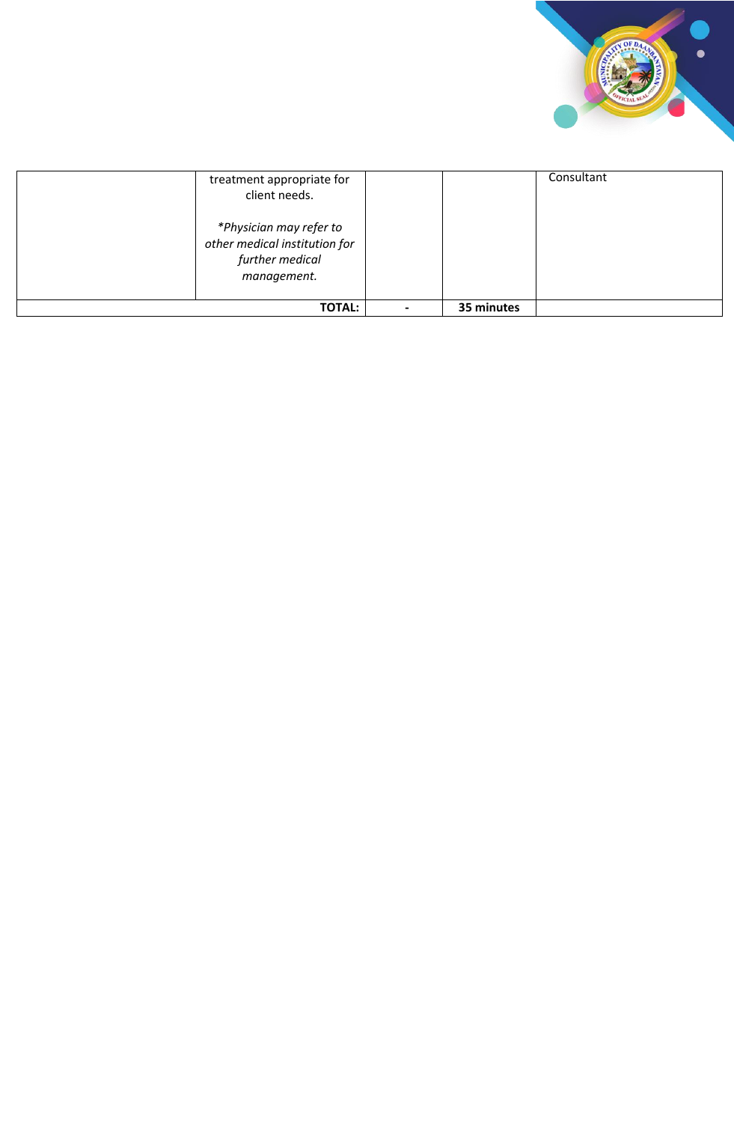

| treatment appropriate for<br>client needs.                                                 |            | Consultant |
|--------------------------------------------------------------------------------------------|------------|------------|
| *Physician may refer to<br>other medical institution for<br>further medical<br>management. |            |            |
| <b>TOTAL:</b>                                                                              | 35 minutes |            |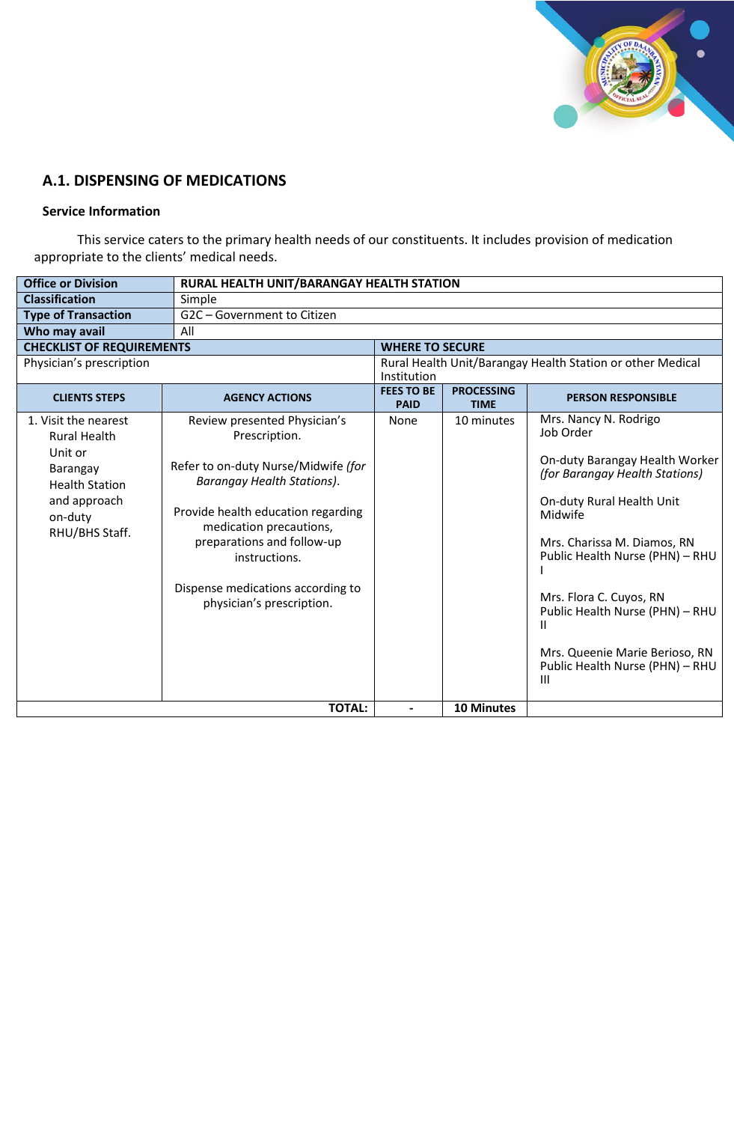

# **A.1. DISPENSING OF MEDICATIONS**

#### **Service Information**

This service caters to the primary health needs of our constituents. It includes provision of medication appropriate to the clients' medical needs.

| <b>Classification</b><br>Simple<br>G2C - Government to Citizen<br><b>Type of Transaction</b><br>Who may avail<br>All<br><b>CHECKLIST OF REQUIREMENTS</b><br><b>WHERE TO SECURE</b><br>Physician's prescription<br>Rural Health Unit/Barangay Health Station or other Medical<br>Institution<br><b>FEES TO BE</b><br><b>PROCESSING</b><br><b>AGENCY ACTIONS</b><br><b>CLIENTS STEPS</b><br><b>PERSON RESPONSIBLE</b><br><b>PAID</b><br><b>TIME</b><br>Mrs. Nancy N. Rodrigo<br>1. Visit the nearest<br>Review presented Physician's<br>None<br>10 minutes<br>Job Order<br>Prescription.<br><b>Rural Health</b><br>Unit or<br>Refer to on-duty Nurse/Midwife (for<br>Barangay<br>(for Barangay Health Stations)<br><b>Barangay Health Stations).</b><br><b>Health Station</b><br>and approach<br>On-duty Rural Health Unit<br>Provide health education regarding<br>Midwife<br>on-duty<br>medication precautions,<br>RHU/BHS Staff.<br>preparations and follow-up<br>Mrs. Charissa M. Diamos, RN<br>instructions.<br>Dispense medications according to<br>Mrs. Flora C. Cuyos, RN<br>physician's prescription.<br>Ш<br>Mrs. Queenie Marie Berioso, RN<br>Ш | <b>Office or Division</b> |               | RURAL HEALTH UNIT/BARANGAY HEALTH STATION |                   |                                                                                                                                         |  |  |
|----------------------------------------------------------------------------------------------------------------------------------------------------------------------------------------------------------------------------------------------------------------------------------------------------------------------------------------------------------------------------------------------------------------------------------------------------------------------------------------------------------------------------------------------------------------------------------------------------------------------------------------------------------------------------------------------------------------------------------------------------------------------------------------------------------------------------------------------------------------------------------------------------------------------------------------------------------------------------------------------------------------------------------------------------------------------------------------------------------------------------------------------------------|---------------------------|---------------|-------------------------------------------|-------------------|-----------------------------------------------------------------------------------------------------------------------------------------|--|--|
|                                                                                                                                                                                                                                                                                                                                                                                                                                                                                                                                                                                                                                                                                                                                                                                                                                                                                                                                                                                                                                                                                                                                                          |                           |               |                                           |                   |                                                                                                                                         |  |  |
|                                                                                                                                                                                                                                                                                                                                                                                                                                                                                                                                                                                                                                                                                                                                                                                                                                                                                                                                                                                                                                                                                                                                                          |                           |               |                                           |                   |                                                                                                                                         |  |  |
|                                                                                                                                                                                                                                                                                                                                                                                                                                                                                                                                                                                                                                                                                                                                                                                                                                                                                                                                                                                                                                                                                                                                                          |                           |               |                                           |                   |                                                                                                                                         |  |  |
|                                                                                                                                                                                                                                                                                                                                                                                                                                                                                                                                                                                                                                                                                                                                                                                                                                                                                                                                                                                                                                                                                                                                                          |                           |               |                                           |                   |                                                                                                                                         |  |  |
|                                                                                                                                                                                                                                                                                                                                                                                                                                                                                                                                                                                                                                                                                                                                                                                                                                                                                                                                                                                                                                                                                                                                                          |                           |               |                                           |                   |                                                                                                                                         |  |  |
|                                                                                                                                                                                                                                                                                                                                                                                                                                                                                                                                                                                                                                                                                                                                                                                                                                                                                                                                                                                                                                                                                                                                                          |                           |               |                                           |                   |                                                                                                                                         |  |  |
|                                                                                                                                                                                                                                                                                                                                                                                                                                                                                                                                                                                                                                                                                                                                                                                                                                                                                                                                                                                                                                                                                                                                                          |                           |               |                                           |                   |                                                                                                                                         |  |  |
|                                                                                                                                                                                                                                                                                                                                                                                                                                                                                                                                                                                                                                                                                                                                                                                                                                                                                                                                                                                                                                                                                                                                                          |                           |               |                                           |                   | On-duty Barangay Health Worker<br>Public Health Nurse (PHN) - RHU<br>Public Health Nurse (PHN) - RHU<br>Public Health Nurse (PHN) - RHU |  |  |
|                                                                                                                                                                                                                                                                                                                                                                                                                                                                                                                                                                                                                                                                                                                                                                                                                                                                                                                                                                                                                                                                                                                                                          |                           | <b>TOTAL:</b> |                                           | <b>10 Minutes</b> |                                                                                                                                         |  |  |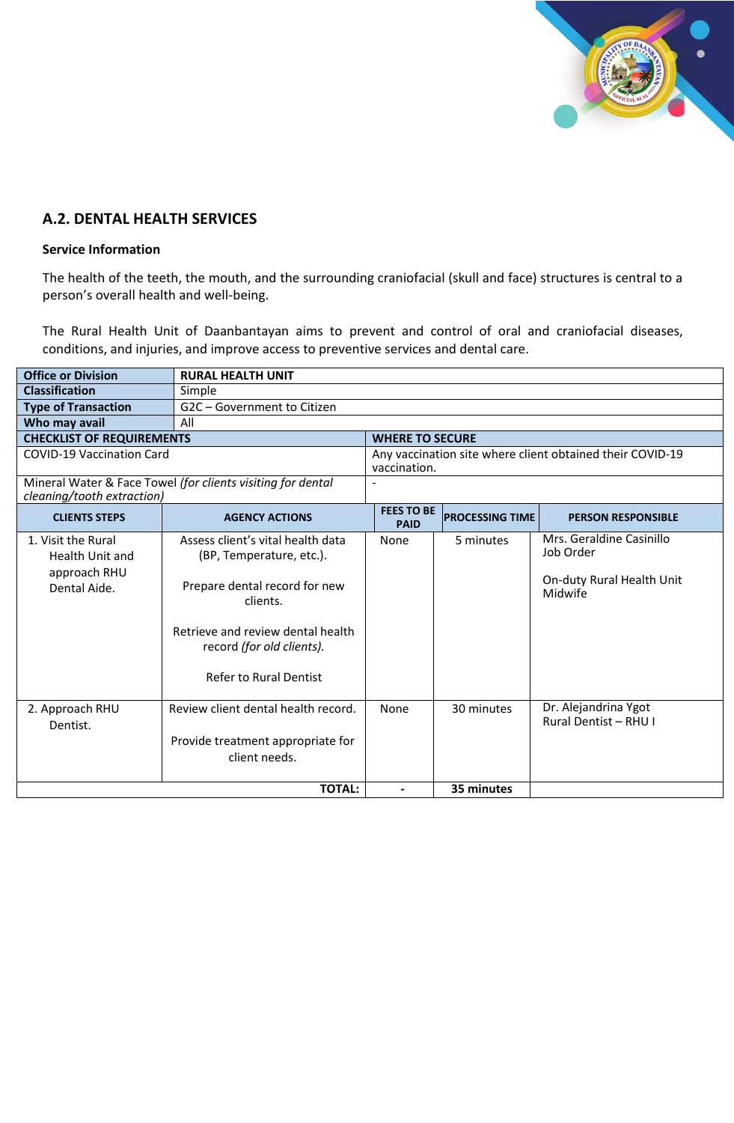

# **A.2. DENTAL HEALTH SERVICES**

#### **Service Information**

The health of the teeth, the mouth, and the surrounding craniofacial (skull and face) structures is central to a person's overall health and well-being.

The Rural Health Unit of Daanbantayan aims to prevent and control of oral and craniofacial diseases, conditions, and injuries, and improve access to preventive services and dental care.

| <b>Office or Division</b>                                                    | <b>RURAL HEALTH UNIT</b>                                                                                                                                                                                      |                                  |                        |                                                                               |  |
|------------------------------------------------------------------------------|---------------------------------------------------------------------------------------------------------------------------------------------------------------------------------------------------------------|----------------------------------|------------------------|-------------------------------------------------------------------------------|--|
| <b>Classification</b>                                                        | Simple                                                                                                                                                                                                        |                                  |                        |                                                                               |  |
| <b>Type of Transaction</b>                                                   | G2C - Government to Citizen                                                                                                                                                                                   |                                  |                        |                                                                               |  |
| Who may avail                                                                | All                                                                                                                                                                                                           |                                  |                        |                                                                               |  |
| <b>CHECKLIST OF REQUIREMENTS</b>                                             |                                                                                                                                                                                                               | <b>WHERE TO SECURE</b>           |                        |                                                                               |  |
| <b>COVID-19 Vaccination Card</b>                                             |                                                                                                                                                                                                               | vaccination.                     |                        | Any vaccination site where client obtained their COVID-19                     |  |
| cleaning/tooth extraction)                                                   | Mineral Water & Face Towel (for clients visiting for dental                                                                                                                                                   |                                  |                        |                                                                               |  |
| <b>CLIENTS STEPS</b>                                                         | <b>AGENCY ACTIONS</b>                                                                                                                                                                                         | <b>FEES TO BE</b><br><b>PAID</b> | <b>PROCESSING TIME</b> | <b>PERSON RESPONSIBLE</b>                                                     |  |
| 1. Visit the Rural<br><b>Health Unit and</b><br>approach RHU<br>Dental Aide. | Assess client's vital health data<br>(BP, Temperature, etc.).<br>Prepare dental record for new<br>clients.<br>Retrieve and review dental health<br>record (for old clients).<br><b>Refer to Rural Dentist</b> | None                             | 5 minutes              | Mrs. Geraldine Casinillo<br>Job Order<br>On-duty Rural Health Unit<br>Midwife |  |
| 2. Approach RHU<br>Dentist.                                                  | Review client dental health record.<br>Provide treatment appropriate for<br>client needs.                                                                                                                     | None                             | 30 minutes             | Dr. Alejandrina Ygot<br><b>Rural Dentist - RHU I</b>                          |  |
|                                                                              | <b>TOTAL:</b>                                                                                                                                                                                                 | $\blacksquare$                   | 35 minutes             |                                                                               |  |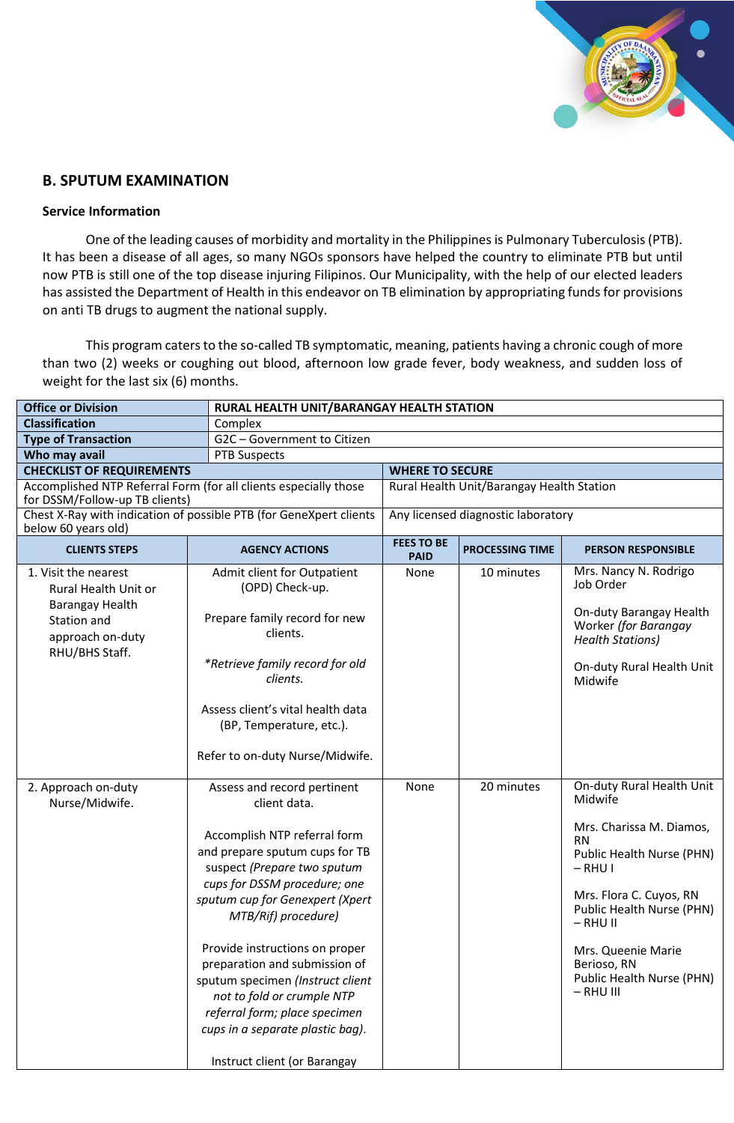

# **B. SPUTUM EXAMINATION**

#### **Service Information**

One of the leading causes of morbidity and mortality in the Philippines is Pulmonary Tuberculosis (PTB). It has been a disease of all ages, so many NGOs sponsors have helped the country to eliminate PTB but until now PTB is still one of the top disease injuring Filipinos. Our Municipality, with the help of our elected leaders has assisted the Department of Health in this endeavor on TB elimination by appropriating funds for provisions on anti TB drugs to augment the national supply.

This program caters to the so-called TB symptomatic, meaning, patients having a chronic cough of more than two (2) weeks or coughing out blood, afternoon low grade fever, body weakness, and sudden loss of weight for the last six (6) months.

| <b>Office or Division</b>                                                                                                                   | RURAL HEALTH UNIT/BARANGAY HEALTH STATION                                                                                                                                                                                                                                                                                                                                                                                                         |                                  |                                           |                                                                                                                                                                                                                                                   |
|---------------------------------------------------------------------------------------------------------------------------------------------|---------------------------------------------------------------------------------------------------------------------------------------------------------------------------------------------------------------------------------------------------------------------------------------------------------------------------------------------------------------------------------------------------------------------------------------------------|----------------------------------|-------------------------------------------|---------------------------------------------------------------------------------------------------------------------------------------------------------------------------------------------------------------------------------------------------|
| <b>Classification</b>                                                                                                                       | Complex                                                                                                                                                                                                                                                                                                                                                                                                                                           |                                  |                                           |                                                                                                                                                                                                                                                   |
| <b>Type of Transaction</b>                                                                                                                  | G2C - Government to Citizen                                                                                                                                                                                                                                                                                                                                                                                                                       |                                  |                                           |                                                                                                                                                                                                                                                   |
| Who may avail                                                                                                                               | <b>PTB Suspects</b>                                                                                                                                                                                                                                                                                                                                                                                                                               |                                  |                                           |                                                                                                                                                                                                                                                   |
| <b>CHECKLIST OF REQUIREMENTS</b>                                                                                                            |                                                                                                                                                                                                                                                                                                                                                                                                                                                   | <b>WHERE TO SECURE</b>           |                                           |                                                                                                                                                                                                                                                   |
| for DSSM/Follow-up TB clients)                                                                                                              | Accomplished NTP Referral Form (for all clients especially those                                                                                                                                                                                                                                                                                                                                                                                  |                                  | Rural Health Unit/Barangay Health Station |                                                                                                                                                                                                                                                   |
| below 60 years old)                                                                                                                         | Chest X-Ray with indication of possible PTB (for GeneXpert clients                                                                                                                                                                                                                                                                                                                                                                                |                                  | Any licensed diagnostic laboratory        |                                                                                                                                                                                                                                                   |
| <b>CLIENTS STEPS</b>                                                                                                                        | <b>AGENCY ACTIONS</b>                                                                                                                                                                                                                                                                                                                                                                                                                             | <b>FEES TO BE</b><br><b>PAID</b> | <b>PROCESSING TIME</b>                    | <b>PERSON RESPONSIBLE</b>                                                                                                                                                                                                                         |
| 1. Visit the nearest<br>Rural Health Unit or<br>Barangay Health<br>Station and<br>approach on-duty<br>RHU/BHS Staff.<br>2. Approach on-duty | Admit client for Outpatient<br>(OPD) Check-up.<br>Prepare family record for new<br>clients.<br>*Retrieve family record for old<br>clients.<br>Assess client's vital health data<br>(BP, Temperature, etc.).<br>Refer to on-duty Nurse/Midwife.<br>Assess and record pertinent                                                                                                                                                                     | None<br>None                     | 10 minutes<br>20 minutes                  | Mrs. Nancy N. Rodrigo<br>Job Order<br>On-duty Barangay Health<br>Worker (for Barangay<br><b>Health Stations)</b><br>On-duty Rural Health Unit<br>Midwife<br>On-duty Rural Health Unit                                                             |
| Nurse/Midwife.                                                                                                                              | client data.<br>Accomplish NTP referral form<br>and prepare sputum cups for TB<br>suspect (Prepare two sputum<br>cups for DSSM procedure; one<br>sputum cup for Genexpert (Xpert<br>MTB/Rif) procedure)<br>Provide instructions on proper<br>preparation and submission of<br>sputum specimen (Instruct client<br>not to fold or crumple NTP<br>referral form; place specimen<br>cups in a separate plastic bag).<br>Instruct client (or Barangay |                                  |                                           | Midwife<br>Mrs. Charissa M. Diamos,<br><b>RN</b><br>Public Health Nurse (PHN)<br>$-$ RHU I<br>Mrs. Flora C. Cuyos, RN<br>Public Health Nurse (PHN)<br>$-$ RHU II<br>Mrs. Queenie Marie<br>Berioso, RN<br>Public Health Nurse (PHN)<br>$-$ RHU III |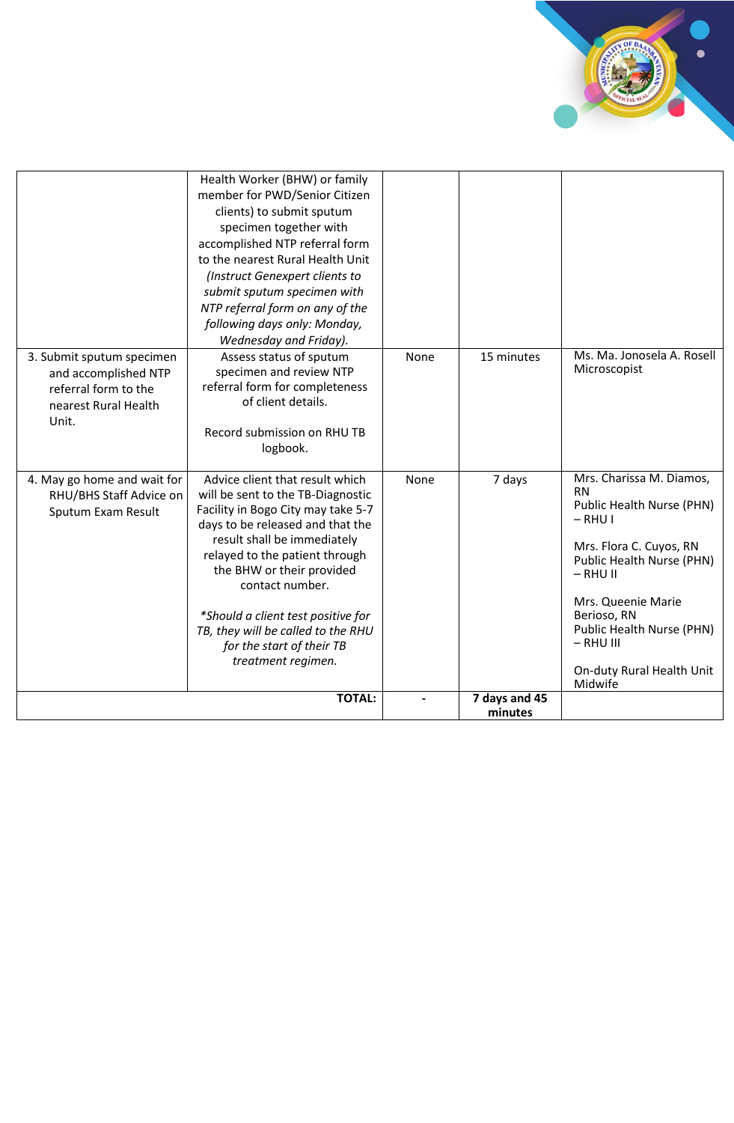

|                                                                                                            | Health Worker (BHW) or family<br>member for PWD/Senior Citizen<br>clients) to submit sputum<br>specimen together with<br>accomplished NTP referral form<br>to the nearest Rural Health Unit<br>(Instruct Genexpert clients to<br>submit sputum specimen with<br>NTP referral form on any of the<br>following days only: Monday,<br>Wednesday and Friday).                                      |      |                          |                                                                                                                                                                                                                                                                                |
|------------------------------------------------------------------------------------------------------------|------------------------------------------------------------------------------------------------------------------------------------------------------------------------------------------------------------------------------------------------------------------------------------------------------------------------------------------------------------------------------------------------|------|--------------------------|--------------------------------------------------------------------------------------------------------------------------------------------------------------------------------------------------------------------------------------------------------------------------------|
| 3. Submit sputum specimen<br>and accomplished NTP<br>referral form to the<br>nearest Rural Health<br>Unit. | Assess status of sputum<br>specimen and review NTP<br>referral form for completeness<br>of client details.<br>Record submission on RHU TB<br>logbook.                                                                                                                                                                                                                                          | None | 15 minutes               | Ms. Ma. Jonosela A. Rosell<br>Microscopist                                                                                                                                                                                                                                     |
| 4. May go home and wait for<br>RHU/BHS Staff Advice on<br>Sputum Exam Result                               | Advice client that result which<br>will be sent to the TB-Diagnostic<br>Facility in Bogo City may take 5-7<br>days to be released and that the<br>result shall be immediately<br>relayed to the patient through<br>the BHW or their provided<br>contact number.<br>*Should a client test positive for<br>TB, they will be called to the RHU<br>for the start of their TB<br>treatment regimen. | None | 7 days                   | Mrs. Charissa M. Diamos,<br><b>RN</b><br>Public Health Nurse (PHN)<br>$-$ RHU I<br>Mrs. Flora C. Cuyos, RN<br>Public Health Nurse (PHN)<br>$-$ RHU II<br>Mrs. Queenie Marie<br>Berioso, RN<br>Public Health Nurse (PHN)<br>$-$ RHU III<br>On-duty Rural Health Unit<br>Midwife |
|                                                                                                            | <b>TOTAL:</b>                                                                                                                                                                                                                                                                                                                                                                                  |      | 7 days and 45<br>minutes |                                                                                                                                                                                                                                                                                |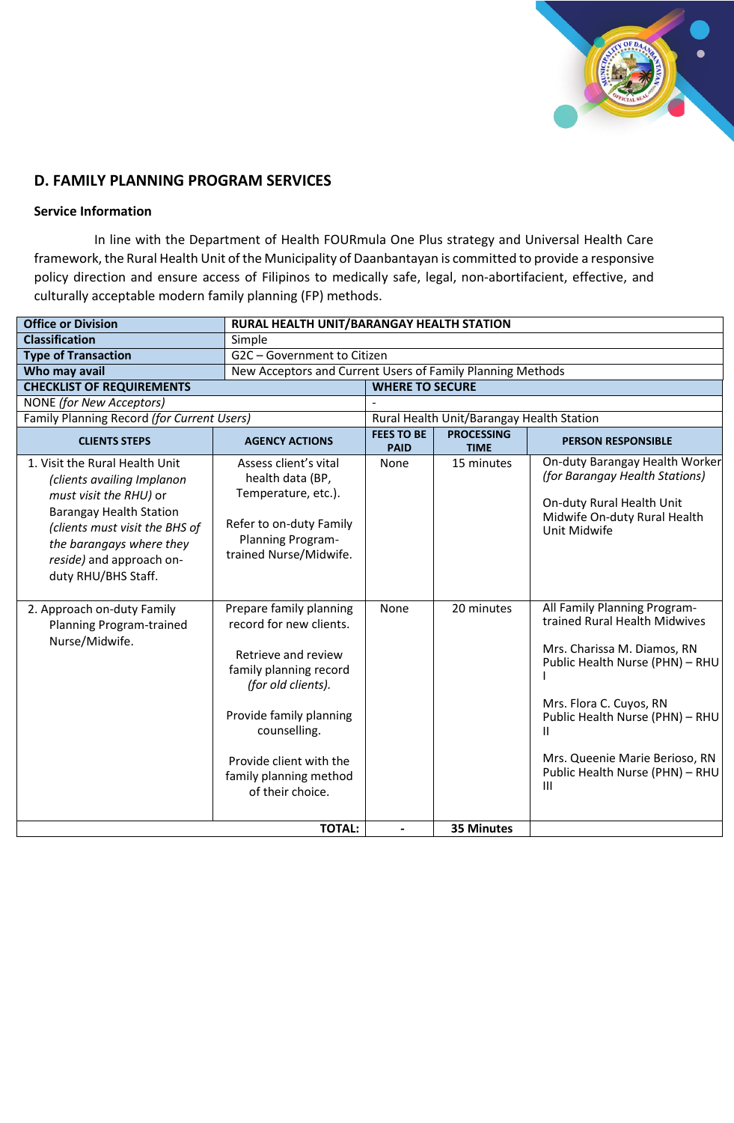

# **D. FAMILY PLANNING PROGRAM SERVICES**

## **Service Information**

In line with the Department of Health FOURmula One Plus strategy and Universal Health Care framework, the Rural Health Unit of the Municipality of Daanbantayan is committed to provide a responsive policy direction and ensure access of Filipinos to medically safe, legal, non-abortifacient, effective, and culturally acceptable modern family planning (FP) methods.

| <b>Office or Division</b>                                                                                                                                                                                                                 | RURAL HEALTH UNIT/BARANGAY HEALTH STATION                                                                                                                                                                                                     |                                  |                                           |                                                                                                                                                                                                                                                                              |
|-------------------------------------------------------------------------------------------------------------------------------------------------------------------------------------------------------------------------------------------|-----------------------------------------------------------------------------------------------------------------------------------------------------------------------------------------------------------------------------------------------|----------------------------------|-------------------------------------------|------------------------------------------------------------------------------------------------------------------------------------------------------------------------------------------------------------------------------------------------------------------------------|
| <b>Classification</b>                                                                                                                                                                                                                     | Simple                                                                                                                                                                                                                                        |                                  |                                           |                                                                                                                                                                                                                                                                              |
| <b>Type of Transaction</b>                                                                                                                                                                                                                | G2C - Government to Citizen                                                                                                                                                                                                                   |                                  |                                           |                                                                                                                                                                                                                                                                              |
| Who may avail                                                                                                                                                                                                                             | New Acceptors and Current Users of Family Planning Methods                                                                                                                                                                                    |                                  |                                           |                                                                                                                                                                                                                                                                              |
| <b>CHECKLIST OF REQUIREMENTS</b>                                                                                                                                                                                                          |                                                                                                                                                                                                                                               | <b>WHERE TO SECURE</b>           |                                           |                                                                                                                                                                                                                                                                              |
| <b>NONE</b> (for New Acceptors)                                                                                                                                                                                                           |                                                                                                                                                                                                                                               |                                  |                                           |                                                                                                                                                                                                                                                                              |
| Family Planning Record (for Current Users)                                                                                                                                                                                                |                                                                                                                                                                                                                                               |                                  | Rural Health Unit/Barangay Health Station |                                                                                                                                                                                                                                                                              |
| <b>CLIENTS STEPS</b>                                                                                                                                                                                                                      | <b>AGENCY ACTIONS</b>                                                                                                                                                                                                                         | <b>FEES TO BE</b><br><b>PAID</b> | <b>PROCESSING</b><br><b>TIME</b>          | <b>PERSON RESPONSIBLE</b>                                                                                                                                                                                                                                                    |
| 1. Visit the Rural Health Unit<br>(clients availing Implanon<br>must visit the RHU) or<br><b>Barangay Health Station</b><br>(clients must visit the BHS of<br>the barangays where they<br>reside) and approach on-<br>duty RHU/BHS Staff. | Assess client's vital<br>health data (BP,<br>Temperature, etc.).<br>Refer to on-duty Family<br>Planning Program-<br>trained Nurse/Midwife.                                                                                                    | None                             | 15 minutes                                | On-duty Barangay Health Worker<br>(for Barangay Health Stations)<br>On-duty Rural Health Unit<br>Midwife On-duty Rural Health<br>Unit Midwife                                                                                                                                |
| 2. Approach on-duty Family<br>Planning Program-trained<br>Nurse/Midwife.                                                                                                                                                                  | Prepare family planning<br>record for new clients.<br>Retrieve and review<br>family planning record<br>(for old clients).<br>Provide family planning<br>counselling.<br>Provide client with the<br>family planning method<br>of their choice. | None                             | 20 minutes                                | All Family Planning Program-<br>trained Rural Health Midwives<br>Mrs. Charissa M. Diamos, RN<br>Public Health Nurse (PHN) - RHU<br>Mrs. Flora C. Cuyos, RN<br>Public Health Nurse (PHN) - RHU<br>Ш<br>Mrs. Queenie Marie Berioso, RN<br>Public Health Nurse (PHN) - RHU<br>Ш |
|                                                                                                                                                                                                                                           | <b>TOTAL:</b>                                                                                                                                                                                                                                 | $\blacksquare$                   | 35 Minutes                                |                                                                                                                                                                                                                                                                              |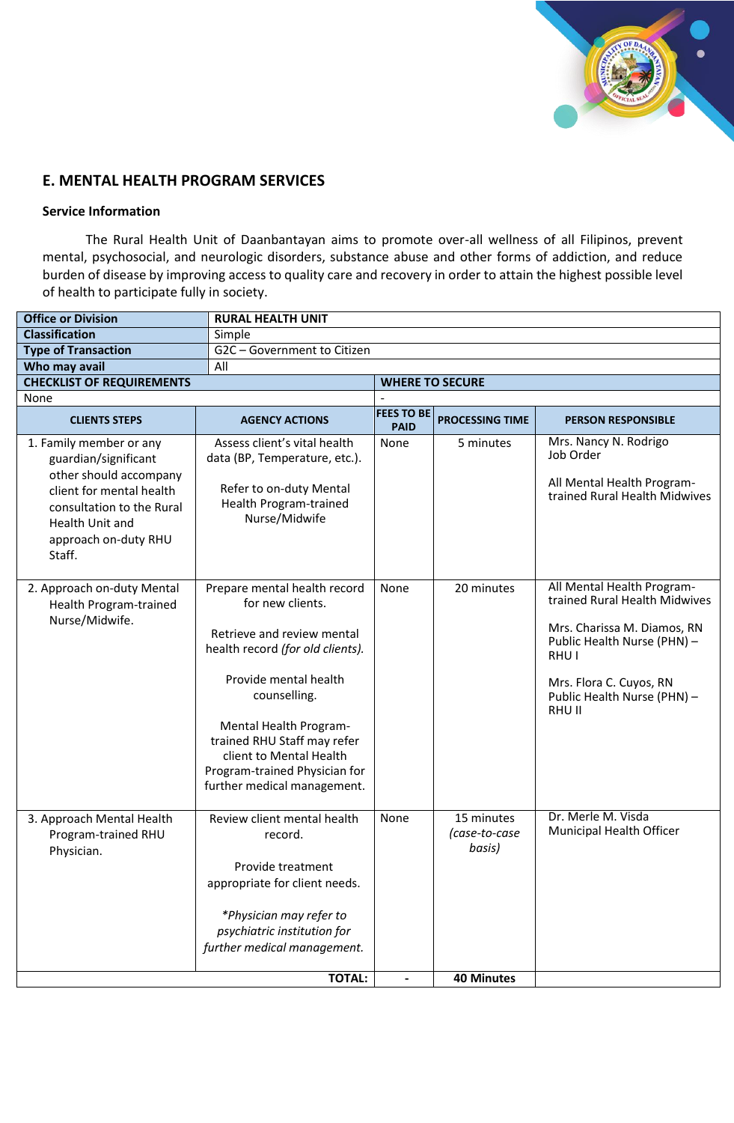

# **E. MENTAL HEALTH PROGRAM SERVICES**

## **Service Information**

The Rural Health Unit of Daanbantayan aims to promote over-all wellness of all Filipinos, prevent mental, psychosocial, and neurologic disorders, substance abuse and other forms of addiction, and reduce burden of disease by improving access to quality care and recovery in order to attain the highest possible level of health to participate fully in society.

| <b>Office or Division</b>                                                                                                                                                               | <b>RURAL HEALTH UNIT</b>                                                                                                                                                                                                                                                                                        |                                  |                                       |                                                                                                                                                                                                        |
|-----------------------------------------------------------------------------------------------------------------------------------------------------------------------------------------|-----------------------------------------------------------------------------------------------------------------------------------------------------------------------------------------------------------------------------------------------------------------------------------------------------------------|----------------------------------|---------------------------------------|--------------------------------------------------------------------------------------------------------------------------------------------------------------------------------------------------------|
| <b>Classification</b>                                                                                                                                                                   | Simple                                                                                                                                                                                                                                                                                                          |                                  |                                       |                                                                                                                                                                                                        |
| <b>Type of Transaction</b>                                                                                                                                                              | G2C - Government to Citizen                                                                                                                                                                                                                                                                                     |                                  |                                       |                                                                                                                                                                                                        |
| Who may avail                                                                                                                                                                           | All                                                                                                                                                                                                                                                                                                             |                                  |                                       |                                                                                                                                                                                                        |
| <b>CHECKLIST OF REQUIREMENTS</b>                                                                                                                                                        |                                                                                                                                                                                                                                                                                                                 |                                  | <b>WHERE TO SECURE</b>                |                                                                                                                                                                                                        |
| None                                                                                                                                                                                    |                                                                                                                                                                                                                                                                                                                 |                                  |                                       |                                                                                                                                                                                                        |
| <b>CLIENTS STEPS</b>                                                                                                                                                                    | <b>AGENCY ACTIONS</b>                                                                                                                                                                                                                                                                                           | <b>FEES TO BE</b><br><b>PAID</b> | <b>PROCESSING TIME</b>                | <b>PERSON RESPONSIBLE</b>                                                                                                                                                                              |
| 1. Family member or any<br>guardian/significant<br>other should accompany<br>client for mental health<br>consultation to the Rural<br>Health Unit and<br>approach on-duty RHU<br>Staff. | Assess client's vital health<br>data (BP, Temperature, etc.).<br>Refer to on-duty Mental<br>Health Program-trained<br>Nurse/Midwife                                                                                                                                                                             | None                             | 5 minutes                             | Mrs. Nancy N. Rodrigo<br>Job Order<br>All Mental Health Program-<br>trained Rural Health Midwives                                                                                                      |
| 2. Approach on-duty Mental<br>Health Program-trained<br>Nurse/Midwife.                                                                                                                  | Prepare mental health record<br>for new clients.<br>Retrieve and review mental<br>health record (for old clients).<br>Provide mental health<br>counselling.<br>Mental Health Program-<br>trained RHU Staff may refer<br>client to Mental Health<br>Program-trained Physician for<br>further medical management. | None                             | 20 minutes                            | All Mental Health Program-<br>trained Rural Health Midwives<br>Mrs. Charissa M. Diamos, RN<br>Public Health Nurse (PHN) -<br>RHU I<br>Mrs. Flora C. Cuyos, RN<br>Public Health Nurse (PHN) -<br>RHU II |
| 3. Approach Mental Health<br>Program-trained RHU<br>Physician.                                                                                                                          | Review client mental health<br>record.<br>Provide treatment<br>appropriate for client needs.<br>*Physician may refer to<br>psychiatric institution for<br>further medical management.                                                                                                                           | None                             | 15 minutes<br>(case-to-case<br>basis) | Dr. Merle M. Visda<br>Municipal Health Officer                                                                                                                                                         |
|                                                                                                                                                                                         | <b>TOTAL:</b>                                                                                                                                                                                                                                                                                                   |                                  | <b>40 Minutes</b>                     |                                                                                                                                                                                                        |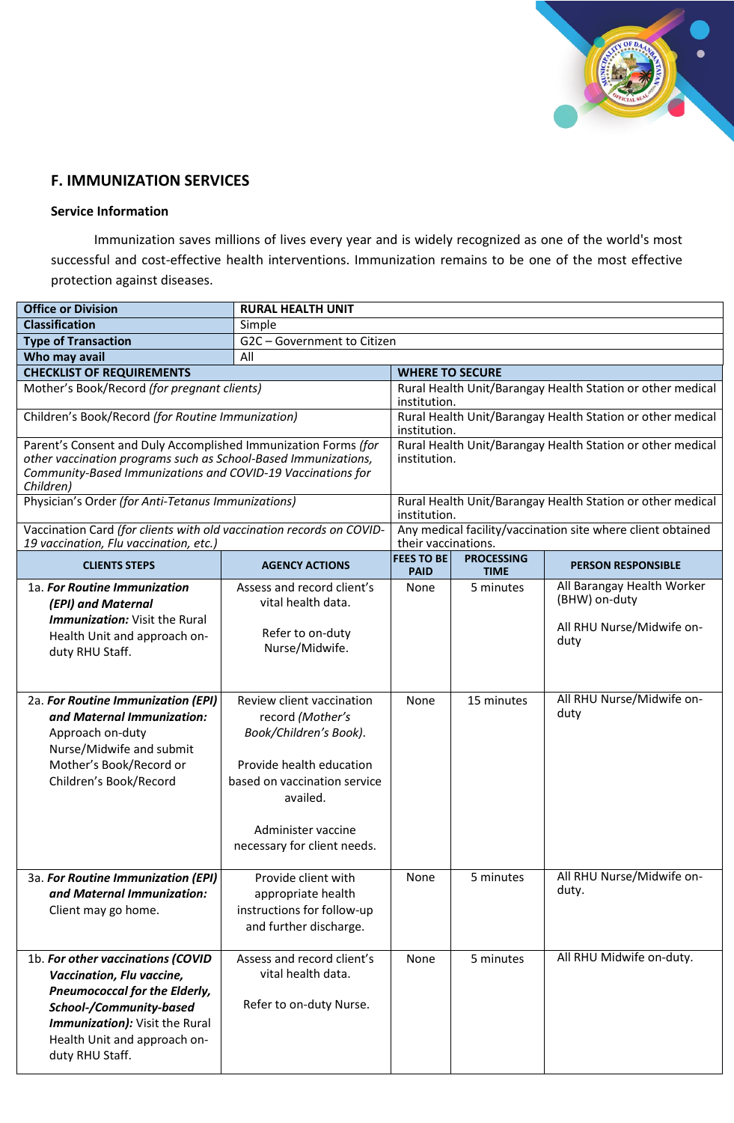

# **F. IMMUNIZATION SERVICES**

## **Service Information**

Immunization saves millions of lives every year and is widely recognized as one of the world's most successful and cost-effective health interventions. Immunization remains to be one of the most effective protection against diseases.

| <b>Office or Division</b>                                                                                                                                                                                              | <b>RURAL HEALTH UNIT</b>                                                                                                                                                                             |                                  |                                  |                                                             |
|------------------------------------------------------------------------------------------------------------------------------------------------------------------------------------------------------------------------|------------------------------------------------------------------------------------------------------------------------------------------------------------------------------------------------------|----------------------------------|----------------------------------|-------------------------------------------------------------|
| <b>Classification</b>                                                                                                                                                                                                  | Simple                                                                                                                                                                                               |                                  |                                  |                                                             |
| <b>Type of Transaction</b>                                                                                                                                                                                             | G2C - Government to Citizen                                                                                                                                                                          |                                  |                                  |                                                             |
| Who may avail                                                                                                                                                                                                          | All                                                                                                                                                                                                  |                                  |                                  |                                                             |
| <b>CHECKLIST OF REQUIREMENTS</b>                                                                                                                                                                                       |                                                                                                                                                                                                      | <b>WHERE TO SECURE</b>           |                                  |                                                             |
| Mother's Book/Record (for pregnant clients)                                                                                                                                                                            |                                                                                                                                                                                                      | institution.                     |                                  | Rural Health Unit/Barangay Health Station or other medical  |
| Children's Book/Record (for Routine Immunization)                                                                                                                                                                      |                                                                                                                                                                                                      | institution.                     |                                  | Rural Health Unit/Barangay Health Station or other medical  |
| Parent's Consent and Duly Accomplished Immunization Forms (for<br>other vaccination programs such as School-Based Immunizations,<br>Community-Based Immunizations and COVID-19 Vaccinations for<br>Children)           |                                                                                                                                                                                                      | institution.                     |                                  | Rural Health Unit/Barangay Health Station or other medical  |
| Physician's Order (for Anti-Tetanus Immunizations)                                                                                                                                                                     |                                                                                                                                                                                                      | institution.                     |                                  | Rural Health Unit/Barangay Health Station or other medical  |
| Vaccination Card (for clients with old vaccination records on COVID-<br>19 vaccination, Flu vaccination, etc.)                                                                                                         |                                                                                                                                                                                                      | their vaccinations.              |                                  | Any medical facility/vaccination site where client obtained |
| <b>CLIENTS STEPS</b>                                                                                                                                                                                                   | <b>AGENCY ACTIONS</b>                                                                                                                                                                                | <b>FEES TO BE</b><br><b>PAID</b> | <b>PROCESSING</b><br><b>TIME</b> | <b>PERSON RESPONSIBLE</b>                                   |
| 1a. For Routine Immunization<br>(EPI) and Maternal<br><b>Immunization:</b> Visit the Rural                                                                                                                             | Assess and record client's<br>vital health data.                                                                                                                                                     | None                             | 5 minutes                        | All Barangay Health Worker<br>(BHW) on-duty                 |
| Health Unit and approach on-<br>duty RHU Staff.                                                                                                                                                                        | Refer to on-duty<br>Nurse/Midwife.                                                                                                                                                                   |                                  |                                  | All RHU Nurse/Midwife on-<br>duty                           |
| 2a. For Routine Immunization (EPI)<br>and Maternal Immunization:<br>Approach on-duty<br>Nurse/Midwife and submit<br>Mother's Book/Record or<br>Children's Book/Record                                                  | Review client vaccination<br>record (Mother's<br>Book/Children's Book).<br>Provide health education<br>based on vaccination service<br>availed.<br>Administer vaccine<br>necessary for client needs. | None                             | 15 minutes                       | All RHU Nurse/Midwife on-<br>duty                           |
| 3a. For Routine Immunization (EPI)<br>and Maternal Immunization:<br>Client may go home.                                                                                                                                | Provide client with<br>appropriate health<br>instructions for follow-up<br>and further discharge.                                                                                                    | None                             | 5 minutes                        | All RHU Nurse/Midwife on-<br>duty.                          |
| 1b. For other vaccinations (COVID<br>Vaccination, Flu vaccine,<br><b>Pneumococcal for the Elderly,</b><br>School-/Community-based<br>Immunization): Visit the Rural<br>Health Unit and approach on-<br>duty RHU Staff. | Assess and record client's<br>vital health data.<br>Refer to on-duty Nurse.                                                                                                                          | None                             | 5 minutes                        | All RHU Midwife on-duty.                                    |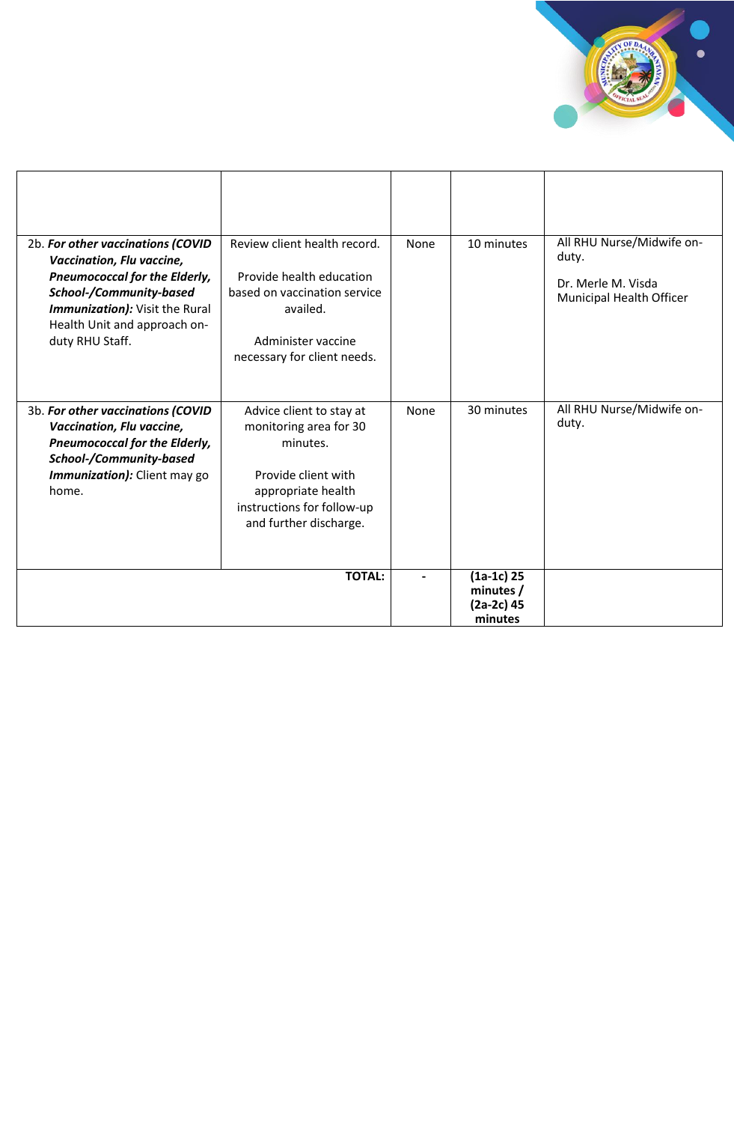

| 2b. For other vaccinations (COVID<br>Vaccination, Flu vaccine,<br><b>Pneumococcal for the Elderly,</b><br>School-/Community-based<br>Immunization): Visit the Rural<br>Health Unit and approach on-<br>duty RHU Staff. | Review client health record.<br>Provide health education<br>based on vaccination service<br>availed.<br>Administer vaccine<br>necessary for client needs. | None | 10 minutes                                           | All RHU Nurse/Midwife on-<br>duty.<br>Dr. Merle M. Visda<br>Municipal Health Officer |
|------------------------------------------------------------------------------------------------------------------------------------------------------------------------------------------------------------------------|-----------------------------------------------------------------------------------------------------------------------------------------------------------|------|------------------------------------------------------|--------------------------------------------------------------------------------------|
| 3b. For other vaccinations (COVID                                                                                                                                                                                      | Advice client to stay at                                                                                                                                  | None | 30 minutes                                           | All RHU Nurse/Midwife on-<br>duty.                                                   |
| Vaccination, Flu vaccine,<br><b>Pneumococcal for the Elderly,</b><br>School-/Community-based                                                                                                                           | monitoring area for 30<br>minutes.                                                                                                                        |      |                                                      |                                                                                      |
| Immunization): Client may go<br>home.                                                                                                                                                                                  | Provide client with<br>appropriate health<br>instructions for follow-up<br>and further discharge.                                                         |      |                                                      |                                                                                      |
|                                                                                                                                                                                                                        | <b>TOTAL:</b>                                                                                                                                             |      | $(1a-1c)$ 25<br>minutes /<br>$(2a-2c)$ 45<br>minutes |                                                                                      |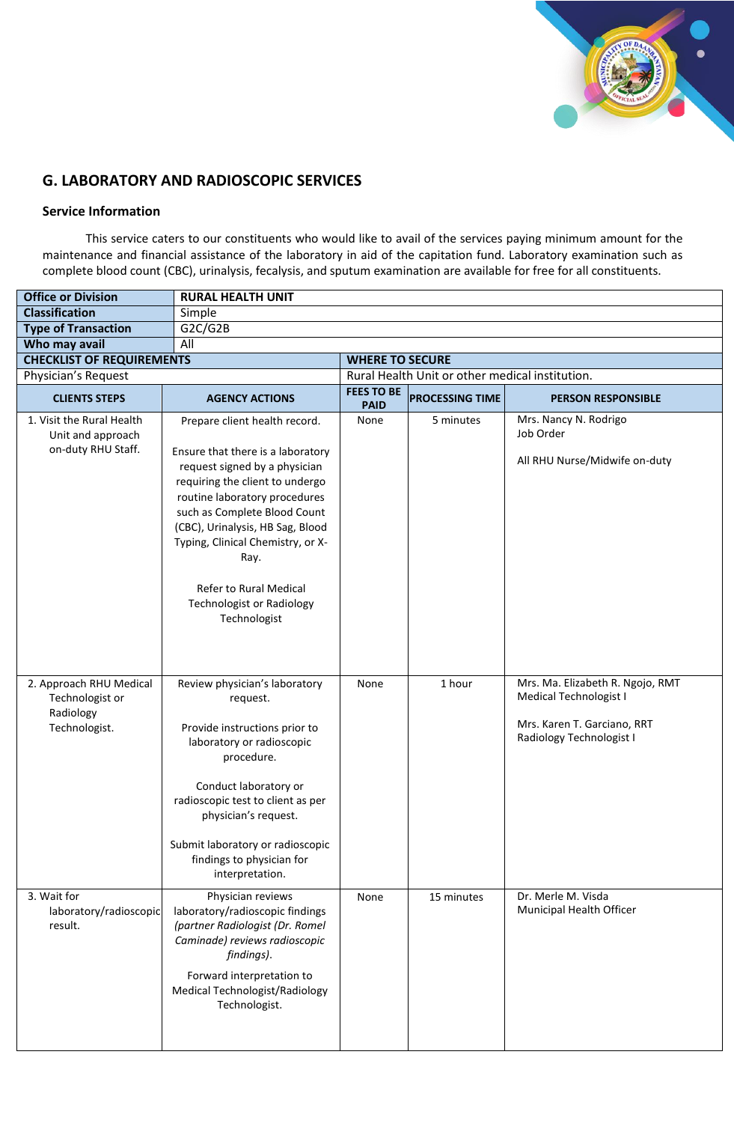

# **G. LABORATORY AND RADIOSCOPIC SERVICES**

#### **Service Information**

This service caters to our constituents who would like to avail of the services paying minimum amount for the maintenance and financial assistance of the laboratory in aid of the capitation fund. Laboratory examination such as complete blood count (CBC), urinalysis, fecalysis, and sputum examination are available for free for all constituents.

| <b>Office or Division</b>                                                | <b>RURAL HEALTH UNIT</b>                                                                                                                                                                                                                                                                                                                                               |                                  |                                                 |                                                                                                                       |
|--------------------------------------------------------------------------|------------------------------------------------------------------------------------------------------------------------------------------------------------------------------------------------------------------------------------------------------------------------------------------------------------------------------------------------------------------------|----------------------------------|-------------------------------------------------|-----------------------------------------------------------------------------------------------------------------------|
| <b>Classification</b>                                                    | Simple                                                                                                                                                                                                                                                                                                                                                                 |                                  |                                                 |                                                                                                                       |
| <b>Type of Transaction</b>                                               | G2C/G2B                                                                                                                                                                                                                                                                                                                                                                |                                  |                                                 |                                                                                                                       |
| Who may avail                                                            | All                                                                                                                                                                                                                                                                                                                                                                    |                                  |                                                 |                                                                                                                       |
| <b>CHECKLIST OF REQUIREMENTS</b>                                         |                                                                                                                                                                                                                                                                                                                                                                        | <b>WHERE TO SECURE</b>           |                                                 |                                                                                                                       |
| Physician's Request                                                      |                                                                                                                                                                                                                                                                                                                                                                        |                                  | Rural Health Unit or other medical institution. |                                                                                                                       |
| <b>CLIENTS STEPS</b>                                                     | <b>AGENCY ACTIONS</b>                                                                                                                                                                                                                                                                                                                                                  | <b>FEES TO BE</b><br><b>PAID</b> | <b>PROCESSING TIME</b>                          | <b>PERSON RESPONSIBLE</b>                                                                                             |
| 1. Visit the Rural Health<br>Unit and approach<br>on-duty RHU Staff.     | Prepare client health record.<br>Ensure that there is a laboratory<br>request signed by a physician<br>requiring the client to undergo<br>routine laboratory procedures<br>such as Complete Blood Count<br>(CBC), Urinalysis, HB Sag, Blood<br>Typing, Clinical Chemistry, or X-<br>Ray.<br>Refer to Rural Medical<br><b>Technologist or Radiology</b><br>Technologist | None                             | 5 minutes                                       | Mrs. Nancy N. Rodrigo<br>Job Order<br>All RHU Nurse/Midwife on-duty                                                   |
| 2. Approach RHU Medical<br>Technologist or<br>Radiology<br>Technologist. | Review physician's laboratory<br>request.<br>Provide instructions prior to<br>laboratory or radioscopic<br>procedure.<br>Conduct laboratory or<br>radioscopic test to client as per<br>physician's request.<br>Submit laboratory or radioscopic<br>findings to physician for<br>interpretation.                                                                        | None                             | 1 hour                                          | Mrs. Ma. Elizabeth R. Ngojo, RMT<br>Medical Technologist I<br>Mrs. Karen T. Garciano, RRT<br>Radiology Technologist I |
| 3. Wait for<br>laboratory/radioscopic<br>result.                         | Physician reviews<br>laboratory/radioscopic findings<br>(partner Radiologist (Dr. Romel<br>Caminade) reviews radioscopic<br>findings).<br>Forward interpretation to<br><b>Medical Technologist/Radiology</b><br>Technologist.                                                                                                                                          | None                             | 15 minutes                                      | Dr. Merle M. Visda<br>Municipal Health Officer                                                                        |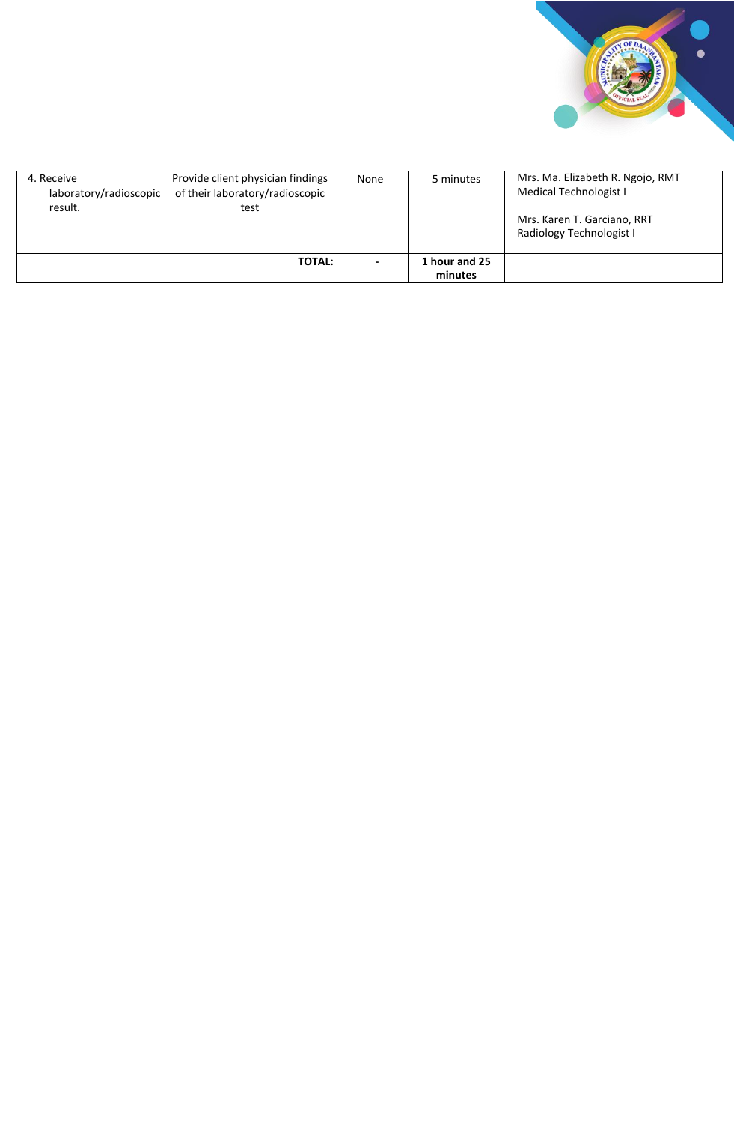

| 4. Receive<br>laboratory/radioscopic<br>result. | Provide client physician findings<br>of their laboratory/radioscopic<br>test | None | 5 minutes                | Mrs. Ma. Elizabeth R. Ngojo, RMT<br><b>Medical Technologist I</b><br>Mrs. Karen T. Garciano, RRT<br>Radiology Technologist I |
|-------------------------------------------------|------------------------------------------------------------------------------|------|--------------------------|------------------------------------------------------------------------------------------------------------------------------|
|                                                 | <b>TOTAL:</b>                                                                |      | 1 hour and 25<br>minutes |                                                                                                                              |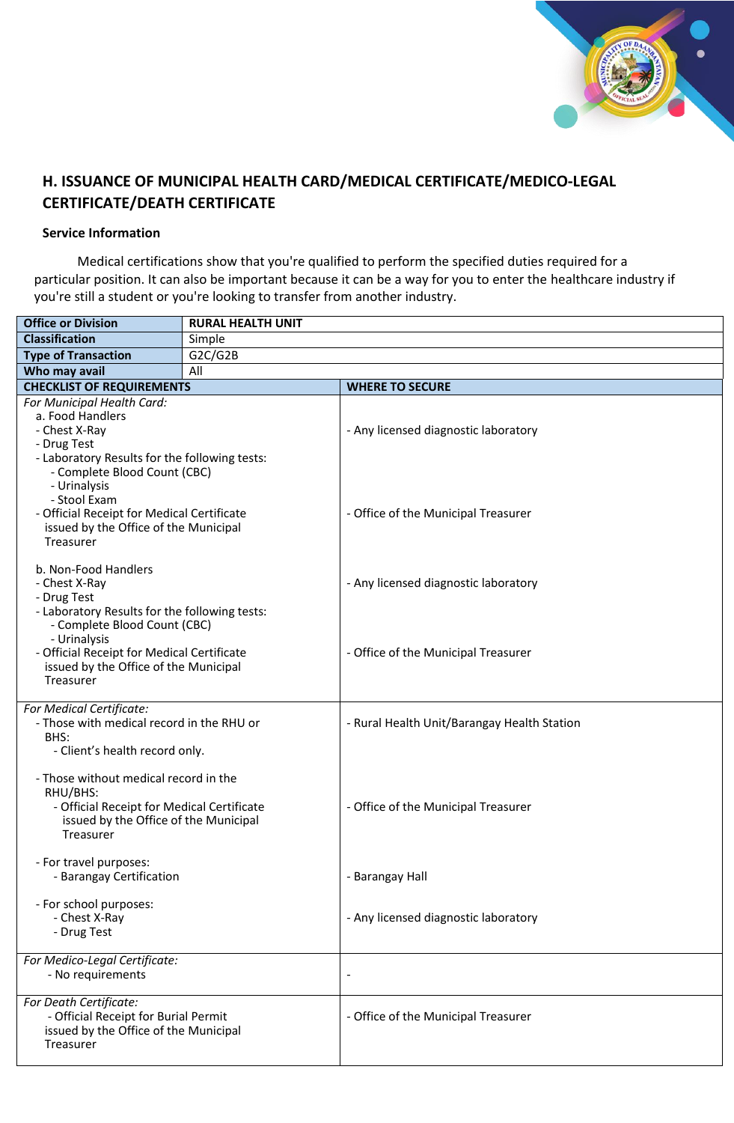

# **H. ISSUANCE OF MUNICIPAL HEALTH CARD/MEDICAL CERTIFICATE/MEDICO-LEGAL CERTIFICATE/DEATH CERTIFICATE**

#### **Service Information**

Medical certifications show that you're qualified to perform the specified duties required for a particular position. It can also be important because it can be a way for you to enter the healthcare industry if you're still a student or you're looking to transfer from another industry.

| <b>Office or Division</b>                          | <b>RURAL HEALTH UNIT</b> |                                             |  |  |
|----------------------------------------------------|--------------------------|---------------------------------------------|--|--|
| <b>Classification</b>                              | Simple                   |                                             |  |  |
| <b>Type of Transaction</b>                         | G2C/G2B                  |                                             |  |  |
| Who may avail                                      | All                      |                                             |  |  |
| <b>CHECKLIST OF REQUIREMENTS</b>                   |                          | <b>WHERE TO SECURE</b>                      |  |  |
| For Municipal Health Card:                         |                          |                                             |  |  |
| a. Food Handlers                                   |                          |                                             |  |  |
| - Chest X-Ray                                      |                          | - Any licensed diagnostic laboratory        |  |  |
| - Drug Test                                        |                          |                                             |  |  |
| - Laboratory Results for the following tests:      |                          |                                             |  |  |
| - Complete Blood Count (CBC)                       |                          |                                             |  |  |
| - Urinalysis<br>- Stool Exam                       |                          |                                             |  |  |
| - Official Receipt for Medical Certificate         |                          |                                             |  |  |
| issued by the Office of the Municipal              |                          | - Office of the Municipal Treasurer         |  |  |
| Treasurer                                          |                          |                                             |  |  |
|                                                    |                          |                                             |  |  |
| b. Non-Food Handlers                               |                          |                                             |  |  |
| - Chest X-Ray                                      |                          | - Any licensed diagnostic laboratory        |  |  |
| - Drug Test                                        |                          |                                             |  |  |
| - Laboratory Results for the following tests:      |                          |                                             |  |  |
| - Complete Blood Count (CBC)                       |                          |                                             |  |  |
| - Urinalysis                                       |                          |                                             |  |  |
| - Official Receipt for Medical Certificate         |                          | - Office of the Municipal Treasurer         |  |  |
| issued by the Office of the Municipal<br>Treasurer |                          |                                             |  |  |
|                                                    |                          |                                             |  |  |
| For Medical Certificate:                           |                          |                                             |  |  |
| - Those with medical record in the RHU or          |                          | - Rural Health Unit/Barangay Health Station |  |  |
| BHS:                                               |                          |                                             |  |  |
| - Client's health record only.                     |                          |                                             |  |  |
|                                                    |                          |                                             |  |  |
| - Those without medical record in the              |                          |                                             |  |  |
| RHU/BHS:                                           |                          |                                             |  |  |
| - Official Receipt for Medical Certificate         |                          | - Office of the Municipal Treasurer         |  |  |
| issued by the Office of the Municipal<br>Treasurer |                          |                                             |  |  |
|                                                    |                          |                                             |  |  |
| - For travel purposes:                             |                          |                                             |  |  |
| - Barangay Certification                           |                          | - Barangay Hall                             |  |  |
|                                                    |                          |                                             |  |  |
| - For school purposes:                             |                          |                                             |  |  |
| - Chest X-Ray                                      |                          | - Any licensed diagnostic laboratory        |  |  |
| - Drug Test                                        |                          |                                             |  |  |
| For Medico-Legal Certificate:                      |                          |                                             |  |  |
| - No requirements                                  |                          | $\overline{\phantom{a}}$                    |  |  |
|                                                    |                          |                                             |  |  |
| For Death Certificate:                             |                          |                                             |  |  |
| - Official Receipt for Burial Permit               |                          | - Office of the Municipal Treasurer         |  |  |
| issued by the Office of the Municipal              |                          |                                             |  |  |
| Treasurer                                          |                          |                                             |  |  |
|                                                    |                          |                                             |  |  |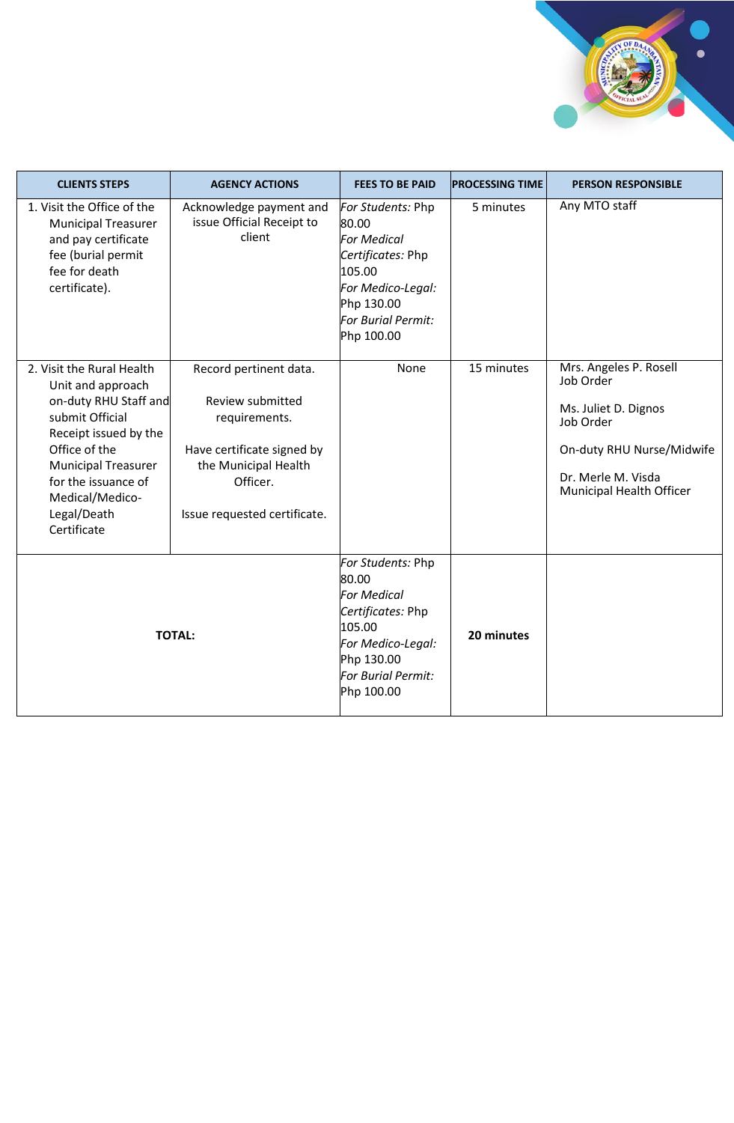

| <b>CLIENTS STEPS</b>                                                                                                                                                                                                                       | <b>AGENCY ACTIONS</b>                                                                                                                                         | <b>FEES TO BE PAID</b>                                                                                                                                 | <b>PROCESSING TIME</b> | <b>PERSON RESPONSIBLE</b>                                                                                                                               |
|--------------------------------------------------------------------------------------------------------------------------------------------------------------------------------------------------------------------------------------------|---------------------------------------------------------------------------------------------------------------------------------------------------------------|--------------------------------------------------------------------------------------------------------------------------------------------------------|------------------------|---------------------------------------------------------------------------------------------------------------------------------------------------------|
| 1. Visit the Office of the<br><b>Municipal Treasurer</b><br>and pay certificate<br>fee (burial permit<br>fee for death<br>certificate).                                                                                                    | Acknowledge payment and<br>issue Official Receipt to<br>client                                                                                                | For Students: Php<br>80.00<br><b>For Medical</b><br>Certificates: Php<br>105.00<br>For Medico-Legal:<br>Php 130.00<br>For Burial Permit:<br>Php 100.00 | 5 minutes              | Any MTO staff                                                                                                                                           |
| 2. Visit the Rural Health<br>Unit and approach<br>on-duty RHU Staff and<br>submit Official<br>Receipt issued by the<br>Office of the<br><b>Municipal Treasurer</b><br>for the issuance of<br>Medical/Medico-<br>Legal/Death<br>Certificate | Record pertinent data.<br>Review submitted<br>requirements.<br>Have certificate signed by<br>the Municipal Health<br>Officer.<br>Issue requested certificate. | None                                                                                                                                                   | 15 minutes             | Mrs. Angeles P. Rosell<br>Job Order<br>Ms. Juliet D. Dignos<br>Job Order<br>On-duty RHU Nurse/Midwife<br>Dr. Merle M. Visda<br>Municipal Health Officer |
| <b>TOTAL:</b>                                                                                                                                                                                                                              |                                                                                                                                                               | For Students: Php<br>80.00<br><b>For Medical</b><br>Certificates: Php<br>105.00<br>For Medico-Legal:<br>Php 130.00<br>For Burial Permit:<br>Php 100.00 | 20 minutes             |                                                                                                                                                         |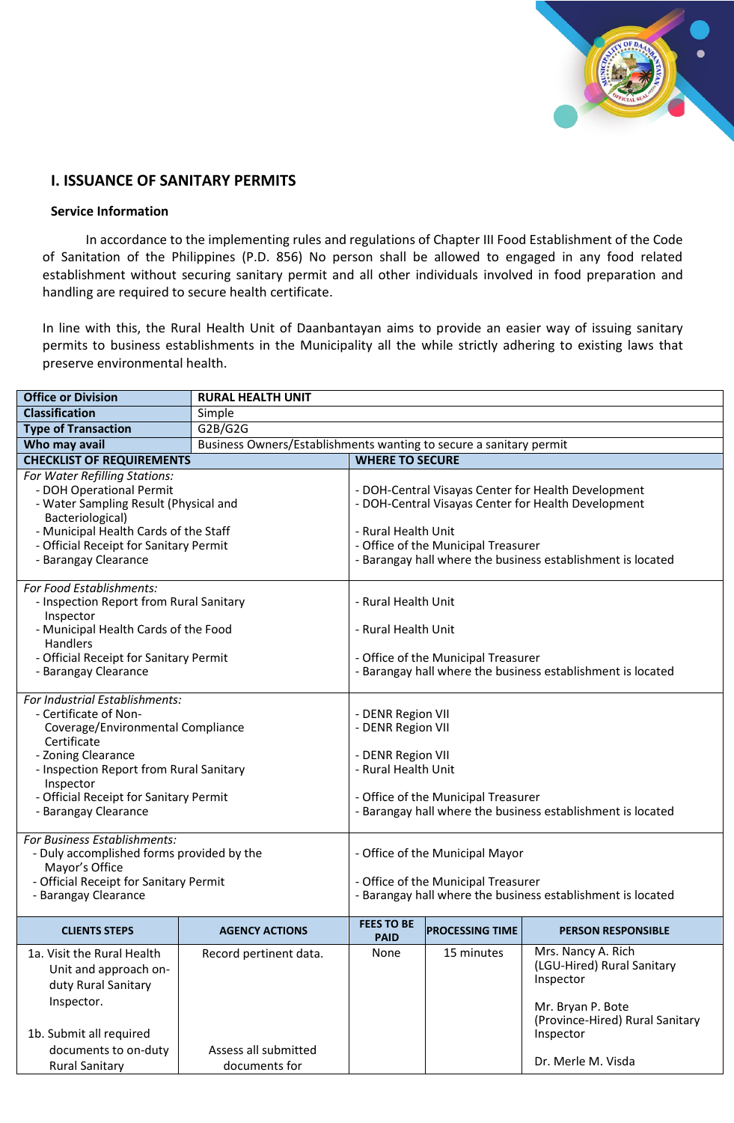

# **I. ISSUANCE OF SANITARY PERMITS**

#### **Service Information**

In accordance to the implementing rules and regulations of Chapter III Food Establishment of the Code of Sanitation of the Philippines (P.D. 856) No person shall be allowed to engaged in any food related establishment without securing sanitary permit and all other individuals involved in food preparation and handling are required to secure health certificate.

In line with this, the Rural Health Unit of Daanbantayan aims to provide an easier way of issuing sanitary permits to business establishments in the Municipality all the while strictly adhering to existing laws that preserve environmental health.

| <b>Office or Division</b>                                                                                                                                                                                                                                                                                                                                                                                                    | <b>RURAL HEALTH UNIT</b>                                           |                                                                                                                                                                                                                                                                                                                                   |                        |                                                                                                                                                          |  |
|------------------------------------------------------------------------------------------------------------------------------------------------------------------------------------------------------------------------------------------------------------------------------------------------------------------------------------------------------------------------------------------------------------------------------|--------------------------------------------------------------------|-----------------------------------------------------------------------------------------------------------------------------------------------------------------------------------------------------------------------------------------------------------------------------------------------------------------------------------|------------------------|----------------------------------------------------------------------------------------------------------------------------------------------------------|--|
| <b>Classification</b>                                                                                                                                                                                                                                                                                                                                                                                                        | Simple                                                             |                                                                                                                                                                                                                                                                                                                                   |                        |                                                                                                                                                          |  |
| <b>Type of Transaction</b>                                                                                                                                                                                                                                                                                                                                                                                                   | G2B/G2G                                                            |                                                                                                                                                                                                                                                                                                                                   |                        |                                                                                                                                                          |  |
| Who may avail                                                                                                                                                                                                                                                                                                                                                                                                                | Business Owners/Establishments wanting to secure a sanitary permit |                                                                                                                                                                                                                                                                                                                                   |                        |                                                                                                                                                          |  |
| <b>CHECKLIST OF REQUIREMENTS</b>                                                                                                                                                                                                                                                                                                                                                                                             |                                                                    | <b>WHERE TO SECURE</b>                                                                                                                                                                                                                                                                                                            |                        |                                                                                                                                                          |  |
| For Water Refilling Stations:<br>- DOH Operational Permit<br>- Water Sampling Result (Physical and<br>Bacteriological)<br>- Municipal Health Cards of the Staff<br>- Official Receipt for Sanitary Permit<br>- Barangay Clearance                                                                                                                                                                                            |                                                                    | - DOH-Central Visayas Center for Health Development<br>- DOH-Central Visayas Center for Health Development<br>- Rural Health Unit<br>- Office of the Municipal Treasurer<br>- Barangay hall where the business establishment is located                                                                                           |                        |                                                                                                                                                          |  |
| For Food Establishments:<br>- Inspection Report from Rural Sanitary<br>Inspector<br>- Municipal Health Cards of the Food<br>Handlers<br>- Official Receipt for Sanitary Permit<br>- Barangay Clearance                                                                                                                                                                                                                       |                                                                    | - Rural Health Unit<br>- Rural Health Unit<br>- Office of the Municipal Treasurer<br>- Barangay hall where the business establishment is located                                                                                                                                                                                  |                        |                                                                                                                                                          |  |
| For Industrial Establishments:<br>- Certificate of Non-<br>Coverage/Environmental Compliance<br>Certificate<br>- Zoning Clearance<br>- Inspection Report from Rural Sanitary<br>Inspector<br>- Official Receipt for Sanitary Permit<br>- Barangay Clearance<br>For Business Establishments:<br>- Duly accomplished forms provided by the<br>Mayor's Office<br>- Official Receipt for Sanitary Permit<br>- Barangay Clearance |                                                                    | - DENR Region VII<br>- DENR Region VII<br>- DENR Region VII<br>- Rural Health Unit<br>- Office of the Municipal Treasurer<br>- Barangay hall where the business establishment is located<br>- Office of the Municipal Mayor<br>- Office of the Municipal Treasurer<br>- Barangay hall where the business establishment is located |                        |                                                                                                                                                          |  |
| <b>CLIENTS STEPS</b>                                                                                                                                                                                                                                                                                                                                                                                                         | <b>AGENCY ACTIONS</b>                                              | <b>FEES TO BE</b><br><b>PAID</b>                                                                                                                                                                                                                                                                                                  | <b>PROCESSING TIME</b> | <b>PERSON RESPONSIBLE</b>                                                                                                                                |  |
| 1a. Visit the Rural Health<br>Unit and approach on-<br>duty Rural Sanitary<br>Inspector.<br>1b. Submit all required<br>documents to on-duty<br><b>Rural Sanitary</b>                                                                                                                                                                                                                                                         | Record pertinent data.<br>Assess all submitted<br>documents for    | None                                                                                                                                                                                                                                                                                                                              | 15 minutes             | Mrs. Nancy A. Rich<br>(LGU-Hired) Rural Sanitary<br>Inspector<br>Mr. Bryan P. Bote<br>(Province-Hired) Rural Sanitary<br>Inspector<br>Dr. Merle M. Visda |  |